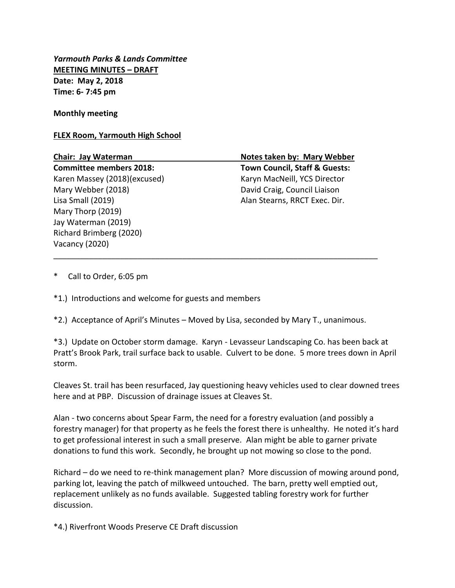*Yarmouth Parks & Lands Committee* **MEETING MINUTES – DRAFT Date: May 2, 2018 Time: 6- 7:45 pm**

**Monthly meeting**

## **FLEX Room, Yarmouth High School**

**Committee members 2018: Town Council, Staff & Guests:** Karen Massey (2018)(excused) Karyn MacNeill, YCS Director Mary Webber (2018) David Craig, Council Liaison Lisa Small (2019) Alan Stearns, RRCT Exec. Dir. Mary Thorp (2019) Jay Waterman (2019) Richard Brimberg (2020) Vacancy (2020)

**Chair: Jay Waterman Notes taken by: Mary Webber** 

\* Call to Order, 6:05 pm

\*1.) Introductions and welcome for guests and members

\*2.) Acceptance of April's Minutes – Moved by Lisa, seconded by Mary T., unanimous.

 $\mathcal{L}_\text{max}$  , and the contract of the contract of the contract of the contract of the contract of the contract of

\*3.) Update on October storm damage. Karyn - Levasseur Landscaping Co. has been back at Pratt's Brook Park, trail surface back to usable. Culvert to be done. 5 more trees down in April storm.

Cleaves St. trail has been resurfaced, Jay questioning heavy vehicles used to clear downed trees here and at PBP. Discussion of drainage issues at Cleaves St.

Alan - two concerns about Spear Farm, the need for a forestry evaluation (and possibly a forestry manager) for that property as he feels the forest there is unhealthy. He noted it's hard to get professional interest in such a small preserve. Alan might be able to garner private donations to fund this work. Secondly, he brought up not mowing so close to the pond.

Richard – do we need to re-think management plan? More discussion of mowing around pond, parking lot, leaving the patch of milkweed untouched. The barn, pretty well emptied out, replacement unlikely as no funds available. Suggested tabling forestry work for further discussion.

\*4.) Riverfront Woods Preserve CE Draft discussion